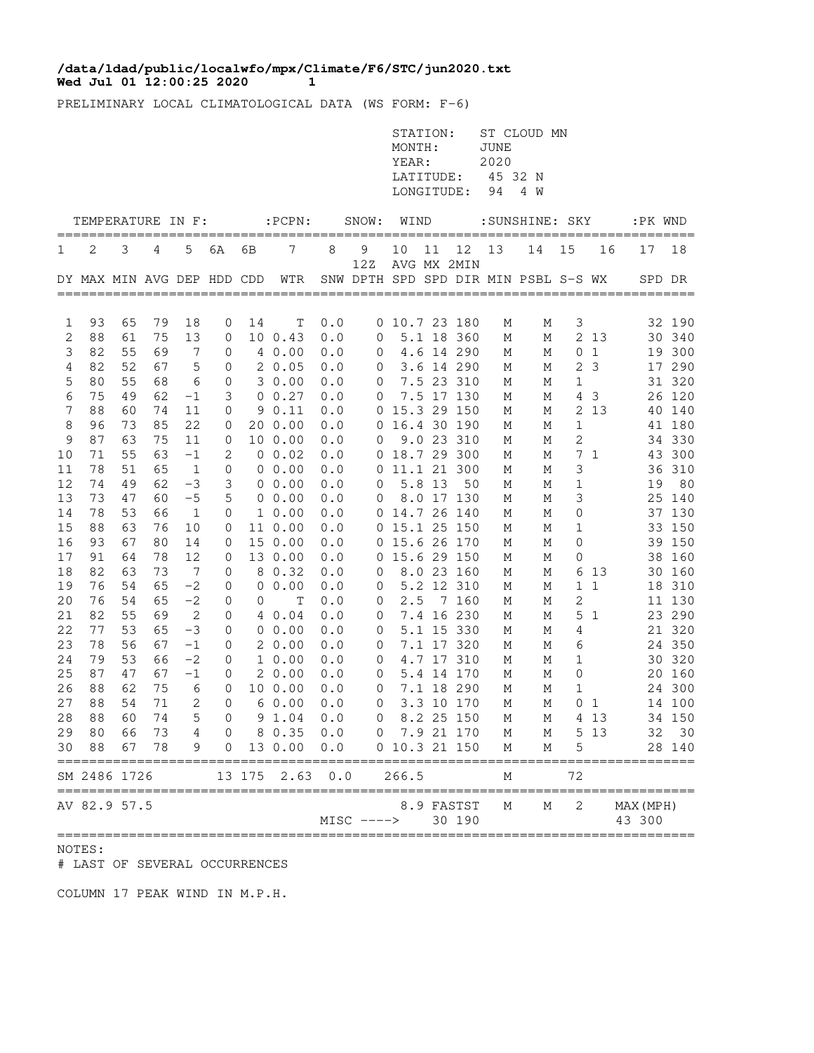## **Wed Jul 01 12:00:25 2020 1 /data/ldad/public/localwfo/mpx/Climate/F6/STC/jun2020.txt**

PRELIMINARY LOCAL CLIMATOLOGICAL DATA (WS FORM: F-6)

|          |                            |          |          |                       |                |        |                   |            |                | STATION:<br>MONTH:<br>YEAR:<br>LATITUDE:<br>LONGITUDE: |        |                           | JUNE<br>2020<br>45 32 N<br>94 | ST CLOUD MN<br>4 W                   |              |              |                     |                  |
|----------|----------------------------|----------|----------|-----------------------|----------------|--------|-------------------|------------|----------------|--------------------------------------------------------|--------|---------------------------|-------------------------------|--------------------------------------|--------------|--------------|---------------------|------------------|
|          | TEMPERATURE IN F:          |          |          |                       |                |        | $:$ PCPN $:$      |            | SNOW:          | WIND                                                   |        |                           |                               | :SUNSHINE: SKY                       |              |              | :PK WND             |                  |
| 1        | 2                          | 3        | 4        | 5                     | 6A             | 6В     | 7                 | 8          | 9              | 10                                                     | 11     | 12                        | 13                            | 14                                   | 15           | 16           | 17                  | $== == =$<br>18  |
|          | DY MAX MIN AVG DEP HDD CDD |          |          |                       |                |        | WTR               |            | 12Z            |                                                        |        | AVG MX 2MIN               |                               | SNW DPTH SPD SPD DIR MIN PSBL S-S WX |              |              | SPD DR              |                  |
| 1        | 93                         | 65       | 79       | 18                    | 0              | 14     | Т                 | 0.0        |                | 0 10.7 23 180                                          |        |                           | М                             | М                                    | 3            |              |                     | 32 190           |
| 2        | 88                         | 61       | 75       | 13                    | 0              |        | 10 0.43           | 0.0        | 0              |                                                        |        | 5.1 18 360                | М                             | М                                    |              | 2 13         |                     | 30 340           |
| 3        | 82                         | 55       | 69       | 7                     | 0              |        | 4 0.00            | 0.0        | 0              |                                                        |        | 4.6 14 290                | М                             | М                                    | 0            | $\mathbf{1}$ | 19                  | 300              |
| 4        | 82                         | 52       | 67       | 5                     | 0              |        | 20.05             | 0.0        | 0              |                                                        |        | 3.6 14 290                | М                             | М                                    | $\mathbf{2}$ | $\mathbf{3}$ |                     | 17 290           |
| 5        | 80                         | 55       | 68       | 6                     | 0              |        | 30.00             | 0.0        | 0              |                                                        |        | 7.5 23 310                | М                             | М                                    | $\mathbf 1$  |              |                     | 31 320           |
| 6        | 75                         | 49       | 62       | $-1$                  | 3              |        | $0 \t 0.27$       | 0.0        | 0              |                                                        |        | 7.5 17 130                | М                             | М                                    | 4            | $\mathbf{3}$ | 26                  | 120              |
| 7        | 88<br>96                   | 60<br>73 | 74<br>85 | 11                    | 0              |        | 90.11<br>20 0.00  | 0.0        | 0              |                                                        |        | 15.3 29 150               | М                             | Μ                                    | 2            | 13           | 40                  | 140              |
| 8<br>9   | 87                         | 63       | 75       | 22<br>11              | 0<br>0         |        | 10 0.00           | 0.0<br>0.0 | 0<br>0         |                                                        |        | 16.4 30 190<br>9.0 23 310 | М<br>М                        | М<br>М                               | 1<br>2       |              |                     | 41 180<br>34 330 |
| 10       | 71                         | 55       | 63       | $-1$                  | 2              |        | 0 0.02            | 0.0        |                | 0 18.7 29 300                                          |        |                           | М                             | М                                    | 7            | 1            |                     | 43 300           |
| 11       | 78                         | 51       | 65       | $\mathbf{1}$          | $\mathbf 0$    |        | $0\;\;0.00$       | 0.0        | 0              | 11.1 21 300                                            |        |                           | Μ                             | М                                    | 3            |              | 36                  | 310              |
| 12       | 74                         | 49       | 62       | $-3$                  | 3              |        | $0\;\;0.00$       | 0.0        | 0              |                                                        | 5.8 13 | 50                        | М                             | М                                    | 1            |              | 19                  | 80               |
| 13       | 73                         | 47       | 60       | $-5$                  | 5              |        | 0 0.00            | 0.0        | 0              |                                                        |        | 8.0 17 130                | М                             | М                                    | 3            |              | 25                  | 140              |
| 14       | 78                         | 53       | 66       | $\mathbf{1}$          | 0              |        | $1\;\;0.00$       | 0.0        | 0              | 14.7 26 140                                            |        |                           | М                             | М                                    | 0            |              |                     | 37 130           |
| 15       | 88                         | 63       | 76       | 10                    | 0              |        | 11 0.00           | 0.0        | 0              | 15.1 25 150                                            |        |                           | М                             | М                                    | 1            |              | 33                  | 150              |
| 16       | 93                         | 67       | 80       | 14                    | 0              |        | 15 0.00           | 0.0        |                | 0 15.6 26 170                                          |        |                           | М                             | М                                    | 0            |              |                     | 39 150           |
| 17<br>18 | 91<br>82                   | 64<br>63 | 78<br>73 | 12<br>$7\phantom{.0}$ | 0<br>0         |        | 13 0.00<br>8 0.32 | 0.0<br>0.0 | 0<br>0         | 15.6 29 150                                            |        | 8.0 23 160                | М<br>М                        | М<br>М                               | 0<br>6       | 13           |                     | 38 160<br>30 160 |
| 19       | 76                         | 54       | 65       | $-2$                  | 0              |        | 0 0.00            | 0.0        | 0              |                                                        |        | 5.2 12 310                | М                             | М                                    |              | 1 1          |                     | 18 310           |
| 20       | 76                         | 54       | 65       | $-2$                  | 0              | 0      | Т                 | 0.0        | 0              | 2.5                                                    |        | 7 160                     | М                             | М                                    | 2            |              |                     | 11 130           |
| 21       | 82                         | 55       | 69       | $\mathbf{2}$          | 0              |        | 4 0.04            | 0.0        | 0              |                                                        |        | 7.4 16 230                | М                             | М                                    | 5            | 1            |                     | 23 290           |
| 22       | 77                         | 53       | 65       | $-3$                  | 0              |        | $0\;\;0.00$       | 0.0        | 0              |                                                        |        | 5.1 15 330                | М                             | М                                    | 4            |              |                     | 21 320           |
| 23       | 78                         | 56       | 67       | $-1$                  | 0              |        | 20.00             | 0.0        | 0              |                                                        |        | 7.1 17 320                | М                             | М                                    | 6            |              |                     | 24 350           |
| 24       | 79                         | 53       | 66       | $-2$                  | 0              |        | 10.00             | 0.0        | 0              |                                                        |        | 4.7 17 310                | М                             | М                                    | 1            |              |                     | 30 320           |
| 25       | 87                         | 47       | 67       | $-1$                  | 0              |        | 20.00             | 0.0        | $\mathbf 0$    |                                                        |        | 5.4 14 170                | М                             | М                                    | 0            |              | 20                  | 160              |
| 26       | 88                         | 62       | 75       | 6                     | 0              |        | 10 0.00           | 0.0        | 0              |                                                        |        | 7.1 18 290<br>3.3 10 170  | М                             | М                                    | 1            |              |                     | 24 300           |
| 27<br>28 | 88<br>88                   | 54<br>60 | 71<br>74 | 2<br>5                | 0<br>$\Omega$  |        | 60.00<br>9 1.04   | 0.0<br>0.0 | 0<br>0         |                                                        |        | 8.2 25 150                | М<br>М                        | М<br>М                               | 0<br>4       | 1<br>13      |                     | 14 100<br>34 150 |
| 29       | 80                         | 66       | 73       | $\overline{4}$        | $\overline{0}$ |        | 8 0.35 0.0        |            | $0$ 7.9 21 170 |                                                        |        |                           | М                             | М                                    |              | 5 1 3        |                     | 32 30            |
| 30       | 88                         | 67       | 78       | 9                     | $\mathbf 0$    |        | 13 0.00           | $0.0$      |                | 0 10.3 21 150                                          |        |                           | М                             | М                                    | 5            |              |                     | 28 140           |
|          | SM 2486 1726               |          |          |                       |                | 13 175 | 2.63              | 0.0        |                | 266.5                                                  |        |                           | М                             |                                      | 72           |              |                     |                  |
|          | AV 82.9 57.5               |          |          |                       |                |        |                   |            | $MISC$ ---->   |                                                        |        | 8.9 FASTST<br>30 190      | Μ                             | М                                    | 2            |              | MAX (MPH)<br>43 300 |                  |

## NOTES:

# LAST OF SEVERAL OCCURRENCES

COLUMN 17 PEAK WIND IN M.P.H.